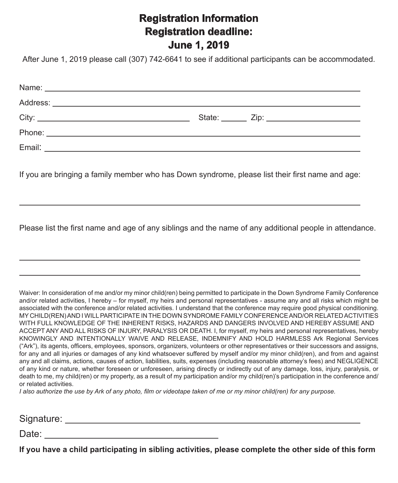## **Registration Information Registration deadline: June 1, 2019**

After June 1, 2019 please call (307) 742-6641 to see if additional participants can be accommodated.

If you are bringing a family member who has Down syndrome, please list their first name and age:

Please list the first name and age of any siblings and the name of any additional people in attendance.

Waiver: In consideration of me and/or my minor child(ren) being permitted to participate in the Down Syndrome Family Conference and/or related activities, I hereby – for myself, my heirs and personal representatives - assume any and all risks which might be associated with the conference and/or related activities. I understand that the conference may require good physical conditioning. MY CHILD(REN) AND I WILL PARTICIPATE IN THE DOWN SYNDROME FAMILY CONFERENCE AND/OR RELATED ACTIVITIES WITH FULL KNOWLEDGE OF THE INHERENT RISKS, HAZARDS AND DANGERS INVOLVED AND HEREBY ASSUME AND ACCEPT ANY AND ALL RISKS OF INJURY, PARALYSIS OR DEATH. I, for myself, my heirs and personal representatives, hereby KNOWINGLY AND INTENTIONALLY WAIVE AND RELEASE, INDEMNIFY AND HOLD HARMLESS Ark Regional Services ("Ark"), its agents, officers, employees, sponsors, organizers, volunteers or other representatives or their successors and assigns, for any and all injuries or damages of any kind whatsoever suffered by myself and/or my minor child(ren), and from and against any and all claims, actions, causes of action, liabilities, suits, expenses (including reasonable attorney's fees) and NEGLIGENCE of any kind or nature, whether foreseen or unforeseen, arising directly or indirectly out of any damage, loss, injury, paralysis, or death to me, my child(ren) or my property, as a result of my participation and/or my child(ren)'s participation in the conference and/ or related activities.

*I also authorize the use by Ark of any photo, film or videotape taken of me or my minor child(ren) for any purpose.*

Signature:

 $\overline{a}$ 

 $\overline{a}$ 

Date:

**If you have a child participating in sibling activities, please complete the other side of this form**